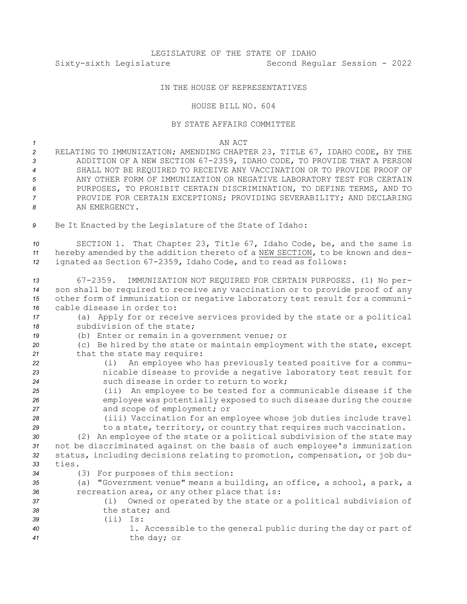## IN THE HOUSE OF REPRESENTATIVES

## HOUSE BILL NO. 604

## BY STATE AFFAIRS COMMITTEE

## *1* AN ACT

- *<sup>2</sup>* RELATING TO IMMUNIZATION; AMENDING CHAPTER 23, TITLE 67, IDAHO CODE, BY THE *<sup>3</sup>* ADDITION OF A NEW SECTION 67-2359, IDAHO CODE, TO PROVIDE THAT A PERSON *4* SHALL NOT BE REQUIRED TO RECEIVE ANY VACCINATION OR TO PROVIDE PROOF OF *5* ANY OTHER FORM OF IMMUNIZATION OR NEGATIVE LABORATORY TEST FOR CERTAIN *6* PURPOSES, TO PROHIBIT CERTAIN DISCRIMINATION, TO DEFINE TERMS, AND TO *7* PROVIDE FOR CERTAIN EXCEPTIONS; PROVIDING SEVERABILITY; AND DECLARING *8* AN EMERGENCY.
- *<sup>9</sup>* Be It Enacted by the Legislature of the State of Idaho:

*<sup>10</sup>* SECTION 1. That Chapter 23, Title 67, Idaho Code, be, and the same is *<sup>11</sup>* hereby amended by the addition thereto of <sup>a</sup> NEW SECTION, to be known and des-*<sup>12</sup>* ignated as Section 67-2359, Idaho Code, and to read as follows:

- *<sup>13</sup>* 67-2359. IMMUNIZATION NOT REQUIRED FOR CERTAIN PURPOSES. (1) No per-*<sup>14</sup>* son shall be required to receive any vaccination or to provide proof of any *<sup>15</sup>* other form of immunization or negative laboratory test result for <sup>a</sup> communi-*16* cable disease in order to:
- *<sup>17</sup>* (a) Apply for or receive services provided by the state or <sup>a</sup> political 18 **Subdivision of the state;**
- *<sup>19</sup>* (b) Enter or remain in <sup>a</sup> government venue; or
- *<sup>20</sup>* (c) Be hired by the state or maintain employment with the state, except 21 that the state may require:
- *<sup>22</sup>* (i) An employee who has previously tested positive for <sup>a</sup> commu-*<sup>23</sup>* nicable disease to provide <sup>a</sup> negative laboratory test result for *24* such disease in order to return to work;
- *<sup>25</sup>* (ii) An employee to be tested for <sup>a</sup> communicable disease if the *<sup>26</sup>* employee was potentially exposed to such disease during the course *<sup>27</sup>* and scope of employment; or
- *<sup>28</sup>* (iii) Vaccination for an employee whose job duties include travel 29 to a state, territory, or country that requires such vaccination.
- *<sup>30</sup>* (2) An employee of the state or <sup>a</sup> political subdivision of the state may *<sup>31</sup>* not be discriminated against on the basis of such employee's immunization *<sup>32</sup>* status, including decisions relating to promotion, compensation, or job du-*33* ties.
- 
- *<sup>34</sup>* (3) For purposes of this section:
- *<sup>35</sup>* (a) "Government venue" means <sup>a</sup> building, an office, <sup>a</sup> school, <sup>a</sup> park, <sup>a</sup> *<sup>36</sup>* recreation area, or any other place that is: *<sup>37</sup>* (i) Owned or operated by the state or <sup>a</sup> political subdivision of *38* the state; and *39* (ii) Is:
- *<sup>40</sup>* 1. Accessible to the general public during the day or part of *<sup>41</sup>* the day; or